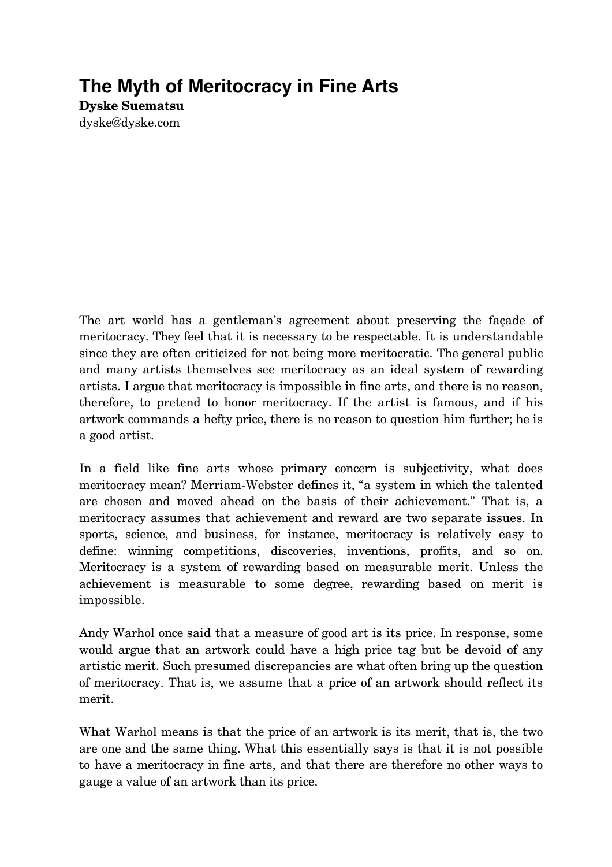## **The Myth of Meritocracy in Fine Arts**

**Dyske Suematsu** dyske@dyske.com

The art world has a gentleman's agreement about preserving the façade of meritocracy. They feel that it is necessary to be respectable. It is understandable since they are often criticized for not being more meritocratic. The general public and many artists themselves see meritocracy as an ideal system of rewarding artists. I argue that meritocracy is impossible in fine arts, and there is no reason, therefore, to pretend to honor meritocracy. If the artist is famous, and if his artwork commands a hefty price, there is no reason to question him further; he is a good artist.

In a field like fine arts whose primary concern is subjectivity, what does meritocracy mean? Merriam-Webster defines it, "a system in which the talented are chosen and moved ahead on the basis of their achievement." That is, a meritocracy assumes that achievement and reward are two separate issues. In sports, science, and business, for instance, meritocracy is relatively easy to define: winning competitions, discoveries, inventions, profits, and so on. Meritocracy is a system of rewarding based on measurable merit. Unless the achievement is measurable to some degree, rewarding based on merit is impossible.

Andy Warhol once said that a measure of good art is its price. In response, some would argue that an artwork could have a high price tag but be devoid of any artistic merit. Such presumed discrepancies are what often bring up the question of meritocracy. That is, we assume that a price of an artwork should reflect its merit.

What Warhol means is that the price of an artwork is its merit, that is, the two are one and the same thing. What this essentially says is that it is not possible to have a meritocracy in fine arts, and that there are therefore no other ways to gauge a value of an artwork than its price.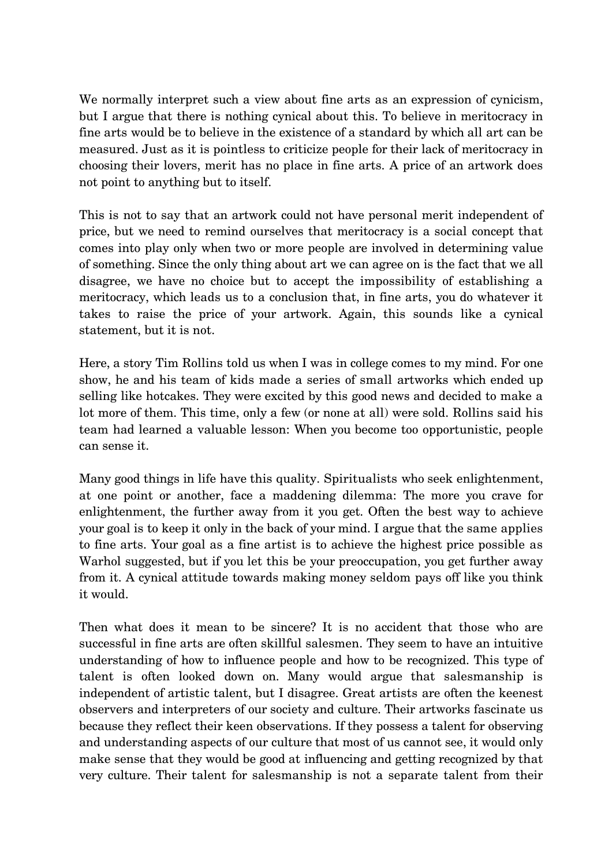We normally interpret such a view about fine arts as an expression of cynicism, but I argue that there is nothing cynical about this. To believe in meritocracy in fine arts would be to believe in the existence of a standard by which all art can be measured. Just as it is pointless to criticize people for their lack of meritocracy in choosing their lovers, merit has no place in fine arts. A price of an artwork does not point to anything but to itself.

This is not to say that an artwork could not have personal merit independent of price, but we need to remind ourselves that meritocracy is a social concept that comes into play only when two or more people are involved in determining value of something. Since the only thing about art we can agree on is the fact that we all disagree, we have no choice but to accept the impossibility of establishing a meritocracy, which leads us to a conclusion that, in fine arts, you do whatever it takes to raise the price of your artwork. Again, this sounds like a cynical statement, but it is not.

Here, a story Tim Rollins told us when I was in college comes to my mind. For one show, he and his team of kids made a series of small artworks which ended up selling like hotcakes. They were excited by this good news and decided to make a lot more of them. This time, only a few (or none at all) were sold. Rollins said his team had learned a valuable lesson: When you become too opportunistic, people can sense it.

Many good things in life have this quality. Spiritualists who seek enlightenment, at one point or another, face a maddening dilemma: The more you crave for enlightenment, the further away from it you get. Often the best way to achieve your goal is to keep it only in the back of your mind. I argue that the same applies to fine arts. Your goal as a fine artist is to achieve the highest price possible as Warhol suggested, but if you let this be your preoccupation, you get further away from it. A cynical attitude towards making money seldom pays off like you think it would.

Then what does it mean to be sincere? It is no accident that those who are successful in fine arts are often skillful salesmen. They seem to have an intuitive understanding of how to influence people and how to be recognized. This type of talent is often looked down on. Many would argue that salesmanship is independent of artistic talent, but I disagree. Great artists are often the keenest observers and interpreters of our society and culture. Their artworks fascinate us because they reflect their keen observations. If they possess a talent for observing and understanding aspects of our culture that most of us cannot see, it would only make sense that they would be good at influencing and getting recognized by that very culture. Their talent for salesmanship is not a separate talent from their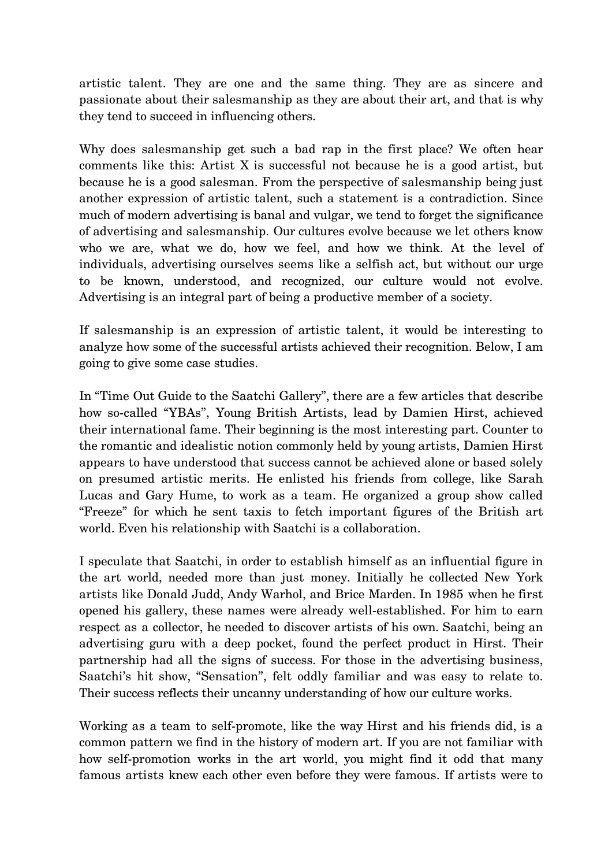artistic talent. They are one and the same thing. They are as sincere and passionate about their salesmanship as they are about their art, and that is why they tend to succeed in influencing others.

Why does salesmanship get such a bad rap in the first place? We often hear comments like this: Artist X is successful not because he is a good artist, but because he is a good salesman. From the perspective of salesmanship being just another expression of artistic talent, such a statement is a contradiction. Since much of modern advertising is banal and vulgar, we tend to forget the significance of advertising and salesmanship. Our cultures evolve because we let others know who we are, what we do, how we feel, and how we think. At the level of individuals, advertising ourselves seems like a selfish act, but without our urge to be known, understood, and recognized, our culture would not evolve. Advertising is an integral part of being a productive member of a society.

If salesmanship is an expression of artistic talent, it would be interesting to analyze how some of the successful artists achieved their recognition. Below, I am going to give some case studies.

In "Time Out Guide to the Saatchi Gallery", there are a few articles that describe how so-called "YBAs", Young British Artists, lead by Damien Hirst, achieved their international fame. Their beginning is the most interesting part. Counter to the romantic and idealistic notion commonly held by young artists, Damien Hirst appears to have understood that success cannot be achieved alone or based solely on presumed artistic merits. He enlisted his friends from college, like Sarah Lucas and Gary Hume, to work as a team. He organized a group show called "Freeze" for which he sent taxis to fetch important figures of the British art world. Even his relationship with Saatchi is a collaboration.

I speculate that Saatchi, in order to establish himself as an influential figure in the art world, needed more than just money. Initially he collected New York artists like Donald Judd, Andy Warhol, and Brice Marden. In 1985 when he first opened his gallery, these names were already well-established. For him to earn respect as a collector, he needed to discover artists of his own. Saatchi, being an advertising guru with a deep pocket, found the perfect product in Hirst. Their partnership had all the signs of success. For those in the advertising business, Saatchi's hit show, "Sensation", felt oddly familiar and was easy to relate to. Their success reflects their uncanny understanding of how our culture works.

Working as a team to self-promote, like the way Hirst and his friends did, is a common pattern we find in the history of modern art. If you are not familiar with how self-promotion works in the art world, you might find it odd that many famous artists knew each other even before they were famous. If artists were to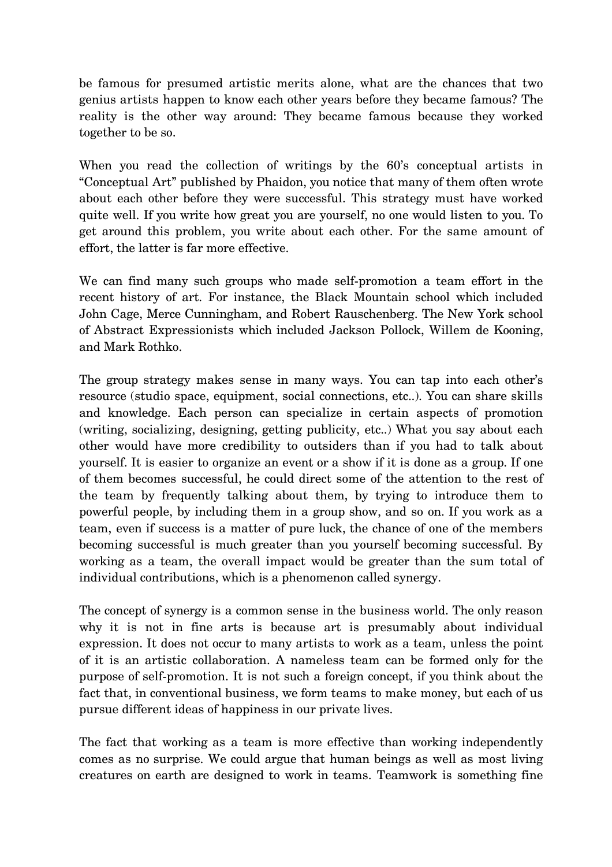be famous for presumed artistic merits alone, what are the chances that two genius artists happen to know each other years before they became famous? The reality is the other way around: They became famous because they worked together to be so.

When you read the collection of writings by the 60's conceptual artists in "Conceptual Art" published by Phaidon, you notice that many of them often wrote about each other before they were successful. This strategy must have worked quite well. If you write how great you are yourself, no one would listen to you. To get around this problem, you write about each other. For the same amount of effort, the latter is far more effective.

We can find many such groups who made self-promotion a team effort in the recent history of art. For instance, the Black Mountain school which included John Cage, Merce Cunningham, and Robert Rauschenberg. The New York school of Abstract Expressionists which included Jackson Pollock, Willem de Kooning, and Mark Rothko.

The group strategy makes sense in many ways. You can tap into each other's resource (studio space, equipment, social connections, etc..). You can share skills and knowledge. Each person can specialize in certain aspects of promotion (writing, socializing, designing, getting publicity, etc..) What you say about each other would have more credibility to outsiders than if you had to talk about yourself. It is easier to organize an event or a show if it is done as a group. If one of them becomes successful, he could direct some of the attention to the rest of the team by frequently talking about them, by trying to introduce them to powerful people, by including them in a group show, and so on. If you work as a team, even if success is a matter of pure luck, the chance of one of the members becoming successful is much greater than you yourself becoming successful. By working as a team, the overall impact would be greater than the sum total of individual contributions, which is a phenomenon called synergy.

The concept of synergy is a common sense in the business world. The only reason why it is not in fine arts is because art is presumably about individual expression. It does not occur to many artists to work as a team, unless the point of it is an artistic collaboration. A nameless team can be formed only for the purpose of self-promotion. It is not such a foreign concept, if you think about the fact that, in conventional business, we form teams to make money, but each of us pursue different ideas of happiness in our private lives.

The fact that working as a team is more effective than working independently comes as no surprise. We could argue that human beings as well as most living creatures on earth are designed to work in teams. Teamwork is something fine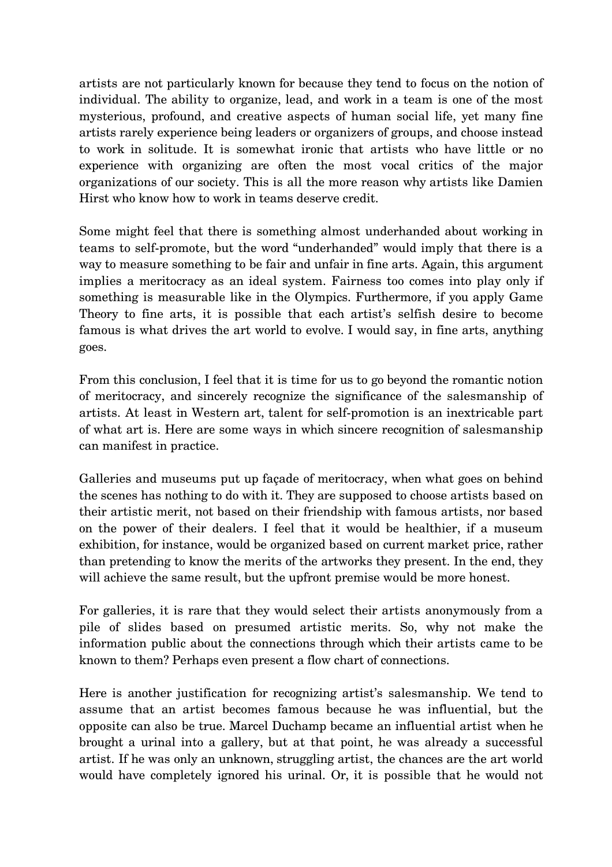artists are not particularly known for because they tend to focus on the notion of individual. The ability to organize, lead, and work in a team is one of the most mysterious, profound, and creative aspects of human social life, yet many fine artists rarely experience being leaders or organizers of groups, and choose instead to work in solitude. It is somewhat ironic that artists who have little or no experience with organizing are often the most vocal critics of the major organizations of our society. This is all the more reason why artists like Damien Hirst who know how to work in teams deserve credit.

Some might feel that there is something almost underhanded about working in teams to self-promote, but the word "underhanded" would imply that there is a way to measure something to be fair and unfair in fine arts. Again, this argument implies a meritocracy as an ideal system. Fairness too comes into play only if something is measurable like in the Olympics. Furthermore, if you apply Game Theory to fine arts, it is possible that each artist's selfish desire to become famous is what drives the art world to evolve. I would say, in fine arts, anything goes.

From this conclusion, I feel that it is time for us to go beyond the romantic notion of meritocracy, and sincerely recognize the significance of the salesmanship of artists. At least in Western art, talent for self-promotion is an inextricable part of what art is. Here are some ways in which sincere recognition of salesmanship can manifest in practice.

Galleries and museums put up façade of meritocracy, when what goes on behind the scenes has nothing to do with it. They are supposed to choose artists based on their artistic merit, not based on their friendship with famous artists, nor based on the power of their dealers. I feel that it would be healthier, if a museum exhibition, for instance, would be organized based on current market price, rather than pretending to know the merits of the artworks they present. In the end, they will achieve the same result, but the upfront premise would be more honest.

For galleries, it is rare that they would select their artists anonymously from a pile of slides based on presumed artistic merits. So, why not make the information public about the connections through which their artists came to be known to them? Perhaps even present a flow chart of connections.

Here is another justification for recognizing artist's salesmanship. We tend to assume that an artist becomes famous because he was influential, but the opposite can also be true. Marcel Duchamp became an influential artist when he brought a urinal into a gallery, but at that point, he was already a successful artist. If he was only an unknown, struggling artist, the chances are the art world would have completely ignored his urinal. Or, it is possible that he would not